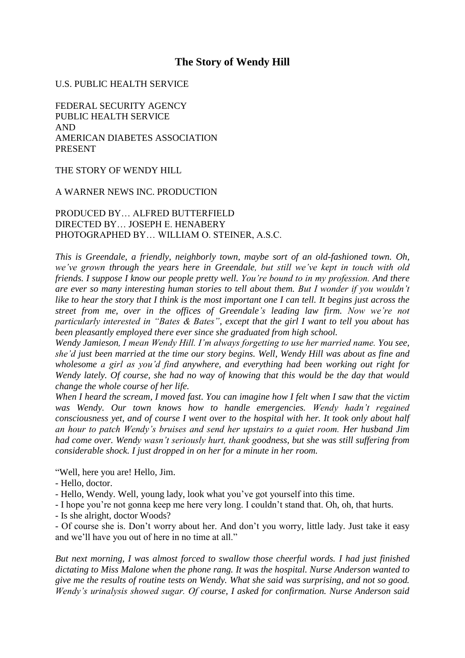# **The Story of Wendy Hill**

#### U.S. PUBLIC HEALTH SERVICE

FEDERAL SECURITY AGENCY PUBLIC HEALTH SERVICE AND AMERICAN DIABETES ASSOCIATION PRESENT

THE STORY OF WENDY HILL

#### A WARNER NEWS INC. PRODUCTION

### PRODUCED BY… ALFRED BUTTERFIELD DIRECTED BY… JOSEPH E. HENABERY PHOTOGRAPHED BY… WILLIAM O. STEINER, A.S.C.

*This is Greendale, a friendly, neighborly town, maybe sort of an old-fashioned town. Oh, we've grown through the years here in Greendale, but still we've kept in touch with old friends. I suppose I know our people pretty well. You're bound to in my profession. And there are ever so many interesting human stories to tell about them. But I wonder if you wouldn't like to hear the story that I think is the most important one I can tell. It begins just across the street from me, over in the offices of Greendale's leading law firm. Now we're not particularly interested in "Bates & Bates", except that the girl I want to tell you about has been pleasantly employed there ever since she graduated from high school.*

*Wendy Jamieson, I mean Wendy Hill. I'm always forgetting to use her married name. You see, she'd just been married at the time our story begins. Well, Wendy Hill was about as fine and wholesome a girl as you'd find anywhere, and everything had been working out right for Wendy lately. Of course, she had no way of knowing that this would be the day that would change the whole course of her life.*

*When I heard the scream, I moved fast. You can imagine how I felt when I saw that the victim was Wendy. Our town knows how to handle emergencies. Wendy hadn't regained consciousness yet, and of course I went over to the hospital with her. It took only about half an hour to patch Wendy's bruises and send her upstairs to a quiet room. Her husband Jim had come over. Wendy wasn't seriously hurt, thank goodness, but she was still suffering from considerable shock. I just dropped in on her for a minute in her room.*

"Well, here you are! Hello, Jim.

- Hello, doctor.

- Hello, Wendy. Well, young lady, look what you've got yourself into this time.
- I hope you're not gonna keep me here very long. I couldn't stand that. Oh, oh, that hurts.
- Is she alright, doctor Woods?

- Of course she is. Don't worry about her. And don't you worry, little lady. Just take it easy and we'll have you out of here in no time at all."

*But next morning, I was almost forced to swallow those cheerful words. I had just finished dictating to Miss Malone when the phone rang. It was the hospital. Nurse Anderson wanted to give me the results of routine tests on Wendy. What she said was surprising, and not so good. Wendy's urinalysis showed sugar. Of course, I asked for confirmation. Nurse Anderson said*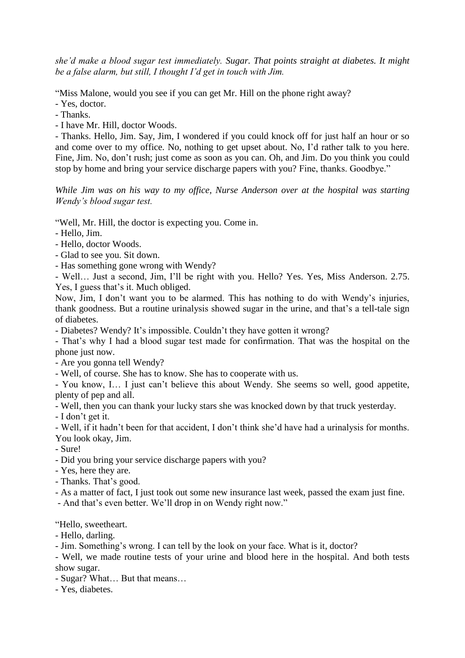*she'd make a blood sugar test immediately. Sugar. That points straight at diabetes. It might be a false alarm, but still, I thought I'd get in touch with Jim.*

"Miss Malone, would you see if you can get Mr. Hill on the phone right away?

- Yes, doctor.
- Thanks.

- I have Mr. Hill, doctor Woods.

- Thanks. Hello, Jim. Say, Jim, I wondered if you could knock off for just half an hour or so and come over to my office. No, nothing to get upset about. No, I'd rather talk to you here. Fine, Jim. No, don't rush; just come as soon as you can. Oh, and Jim. Do you think you could stop by home and bring your service discharge papers with you? Fine, thanks. Goodbye."

*While Jim was on his way to my office, Nurse Anderson over at the hospital was starting Wendy's blood sugar test.*

"Well, Mr. Hill, the doctor is expecting you. Come in.

- Hello, Jim.
- Hello, doctor Woods.
- Glad to see you. Sit down.
- Has something gone wrong with Wendy?

- Well… Just a second, Jim, I'll be right with you. Hello? Yes. Yes, Miss Anderson. 2.75. Yes, I guess that's it. Much obliged.

Now, Jim, I don't want you to be alarmed. This has nothing to do with Wendy's injuries, thank goodness. But a routine urinalysis showed sugar in the urine, and that's a tell-tale sign of diabetes.

- Diabetes? Wendy? It's impossible. Couldn't they have gotten it wrong?

- That's why I had a blood sugar test made for confirmation. That was the hospital on the phone just now.

- Are you gonna tell Wendy?

- Well, of course. She has to know. She has to cooperate with us.

- You know, I… I just can't believe this about Wendy. She seems so well, good appetite, plenty of pep and all.

- Well, then you can thank your lucky stars she was knocked down by that truck yesterday.

- I don't get it.

- Well, if it hadn't been for that accident, I don't think she'd have had a urinalysis for months. You look okay, Jim.

- Sure!

- Did you bring your service discharge papers with you?

- Yes, here they are.
- Thanks. That's good.

- As a matter of fact, I just took out some new insurance last week, passed the exam just fine.

- And that's even better. We'll drop in on Wendy right now."

"Hello, sweetheart.

- Hello, darling.

- Jim. Something's wrong. I can tell by the look on your face. What is it, doctor?

- Well, we made routine tests of your urine and blood here in the hospital. And both tests show sugar.

- Sugar? What… But that means…

- Yes, diabetes.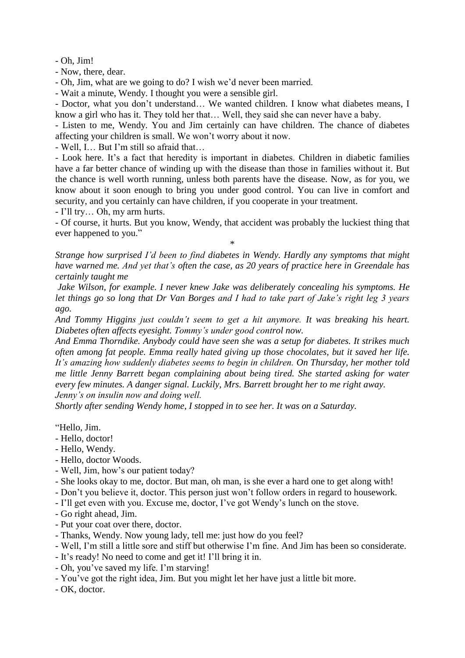- Oh, Jim!

- Now, there, dear.

- Oh, Jim, what are we going to do? I wish we'd never been married.

- Wait a minute, Wendy. I thought you were a sensible girl.

- Doctor, what you don't understand… We wanted children. I know what diabetes means, I know a girl who has it. They told her that… Well, they said she can never have a baby.

- Listen to me, Wendy. You and Jim certainly can have children. The chance of diabetes affecting your children is small. We won't worry about it now.

- Well, I… But I'm still so afraid that…

- Look here. It's a fact that heredity is important in diabetes. Children in diabetic families have a far better chance of winding up with the disease than those in families without it. But the chance is well worth running, unless both parents have the disease. Now, as for you, we know about it soon enough to bring you under good control. You can live in comfort and security, and you certainly can have children, if you cooperate in your treatment.

- I'll try… Oh, my arm hurts.

- Of course, it hurts. But you know, Wendy, that accident was probably the luckiest thing that ever happened to you."

\*

*Strange how surprised I'd been to find diabetes in Wendy. Hardly any symptoms that might have warned me. And yet that's often the case, as 20 years of practice here in Greendale has certainly taught me*

*Jake Wilson, for example. I never knew Jake was deliberately concealing his symptoms. He let things go so long that Dr Van Borges and I had to take part of Jake's right leg 3 years ago.*

*And Tommy Higgins just couldn't seem to get a hit anymore. It was breaking his heart. Diabetes often affects eyesight. Tommy's under good control now.*

*And Emma Thorndike. Anybody could have seen she was a setup for diabetes. It strikes much often among fat people. Emma really hated giving up those chocolates, but it saved her life. It's amazing how suddenly diabetes seems to begin in children. On Thursday, her mother told me little Jenny Barrett began complaining about being tired. She started asking for water every few minutes. A danger signal. Luckily, Mrs. Barrett brought her to me right away. Jenny's on insulin now and doing well.*

*Shortly after sending Wendy home, I stopped in to see her. It was on a Saturday.*

"Hello, Jim.

- Hello, doctor!
- Hello, Wendy.
- Hello, doctor Woods.
- Well, Jim, how's our patient today?
- She looks okay to me, doctor. But man, oh man, is she ever a hard one to get along with!
- Don't you believe it, doctor. This person just won't follow orders in regard to housework.
- I'll get even with you. Excuse me, doctor, I've got Wendy's lunch on the stove.
- Go right ahead, Jim.
- Put your coat over there, doctor.
- Thanks, Wendy. Now young lady, tell me: just how do you feel?
- Well, I'm still a little sore and stiff but otherwise I'm fine. And Jim has been so considerate.
- It's ready! No need to come and get it! I'll bring it in.
- Oh, you've saved my life. I'm starving!
- You've got the right idea, Jim. But you might let her have just a little bit more.
- OK, doctor.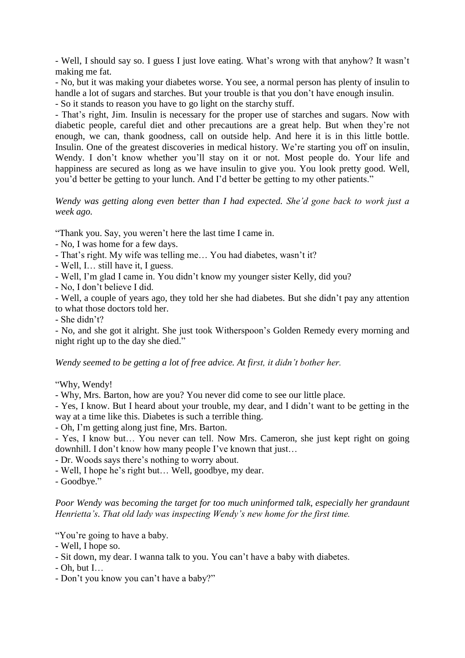- Well, I should say so. I guess I just love eating. What's wrong with that anyhow? It wasn't making me fat.

- No, but it was making your diabetes worse. You see, a normal person has plenty of insulin to handle a lot of sugars and starches. But your trouble is that you don't have enough insulin.

- So it stands to reason you have to go light on the starchy stuff.

- That's right, Jim. Insulin is necessary for the proper use of starches and sugars. Now with diabetic people, careful diet and other precautions are a great help. But when they're not enough, we can, thank goodness, call on outside help. And here it is in this little bottle. Insulin. One of the greatest discoveries in medical history. We're starting you off on insulin, Wendy. I don't know whether you'll stay on it or not. Most people do. Your life and happiness are secured as long as we have insulin to give you. You look pretty good. Well, you'd better be getting to your lunch. And I'd better be getting to my other patients."

*Wendy was getting along even better than I had expected. She'd gone back to work just a week ago.*

"Thank you. Say, you weren't here the last time I came in.

- No, I was home for a few days.
- That's right. My wife was telling me… You had diabetes, wasn't it?
- Well, I… still have it, I guess.
- Well, I'm glad I came in. You didn't know my younger sister Kelly, did you?
- No, I don't believe I did.

- Well, a couple of years ago, they told her she had diabetes. But she didn't pay any attention to what those doctors told her.

- She didn't?

- No, and she got it alright. She just took Witherspoon's Golden Remedy every morning and night right up to the day she died."

*Wendy seemed to be getting a lot of free advice. At first, it didn't bother her.*

"Why, Wendy!

- Why, Mrs. Barton, how are you? You never did come to see our little place.

- Yes, I know. But I heard about your trouble, my dear, and I didn't want to be getting in the way at a time like this. Diabetes is such a terrible thing.

- Oh, I'm getting along just fine, Mrs. Barton.

- Yes, I know but… You never can tell. Now Mrs. Cameron, she just kept right on going downhill. I don't know how many people I've known that just…

- Dr. Woods says there's nothing to worry about.

- Well, I hope he's right but… Well, goodbye, my dear.

- Goodbye."

*Poor Wendy was becoming the target for too much uninformed talk, especially her grandaunt Henrietta's. That old lady was inspecting Wendy's new home for the first time.*

"You're going to have a baby.

- Well, I hope so.
- Sit down, my dear. I wanna talk to you. You can't have a baby with diabetes.
- $-$  Oh, but I...
- Don't you know you can't have a baby?"